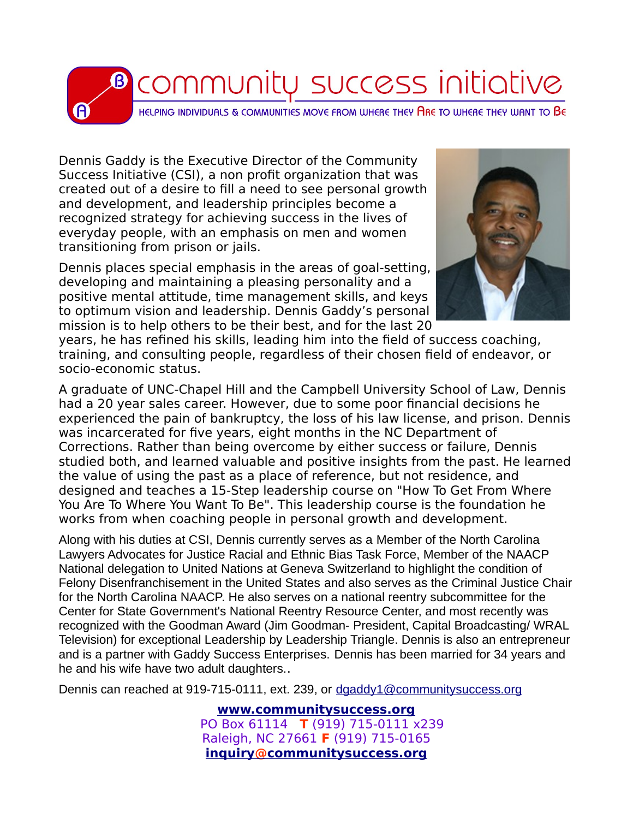

Dennis Gaddy is the Executive Director of the Community Success Initiative (CSI), a non profit organization that was created out of a desire to fill a need to see personal growth and development, and leadership principles become a recognized strategy for achieving success in the lives of everyday people, with an emphasis on men and women transitioning from prison or jails.

Dennis places special emphasis in the areas of goal-setting, developing and maintaining a pleasing personality and a positive mental attitude, time management skills, and keys to optimum vision and leadership. Dennis Gaddy's personal mission is to help others to be their best, and for the last 20



years, he has refined his skills, leading him into the field of success coaching, training, and consulting people, regardless of their chosen field of endeavor, or socio-economic status.

A graduate of UNC-Chapel Hill and the Campbell University School of Law, Dennis had a 20 year sales career. However, due to some poor financial decisions he experienced the pain of bankruptcy, the loss of his law license, and prison. Dennis was incarcerated for five years, eight months in the NC Department of Corrections. Rather than being overcome by either success or failure, Dennis studied both, and learned valuable and positive insights from the past. He learned the value of using the past as a place of reference, but not residence, and designed and teaches a 15-Step leadership course on "How To Get From Where You Are To Where You Want To Be". This leadership course is the foundation he works from when coaching people in personal growth and development.

Along with his duties at CSI, Dennis currently serves as a Member of the North Carolina Lawyers Advocates for Justice Racial and Ethnic Bias Task Force, Member of the NAACP National delegation to United Nations at Geneva Switzerland to highlight the condition of Felony Disenfranchisement in the United States and also serves as the Criminal Justice Chair for the North Carolina NAACP. He also serves on a national reentry subcommittee for the Center for State Government's National Reentry Resource Center, and most recently was recognized with the Goodman Award (Jim Goodman- President, Capital Broadcasting/ WRAL Television) for exceptional Leadership by Leadership Triangle. Dennis is also an entrepreneur and is a partner with Gaddy Success Enterprises. Dennis has been married for 34 years and he and his wife have two adult daughters..

Dennis can reached at 919-715-0111, ext. 239, or [dgaddy1@communitysuccess.org](mailto:dgaddy1@communitysuccess.org)

**[www.communitysuccess.org](http://www.communitysuccess.org/)** PO Box 61114 **T** (919) 715-0111 x239 Raleigh, NC 27661 **F** (919) 715-0165  **[inquiry @](mailto:inquiry@communitysuccess.org) [communitysuccess.org](mailto:inquiry@communitysuccess.org?subject=Inquiry)**